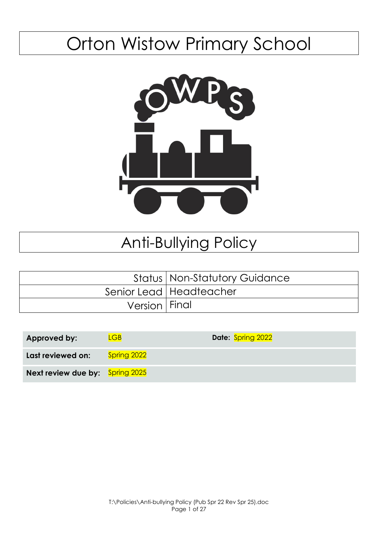# Orton Wistow Primary School



## Anti-Bullying Policy

|                 | <b>Status   Non-Statutory Guidance</b> |
|-----------------|----------------------------------------|
|                 | Senior Lead   Headteacher              |
| Version   Final |                                        |

| <b>Approved by:</b>                    | $G$ B              | Date: Spring 2022 |
|----------------------------------------|--------------------|-------------------|
| Last reviewed on:                      | <b>Spring 2022</b> |                   |
| <b>Next review due by:</b> Spring 2025 |                    |                   |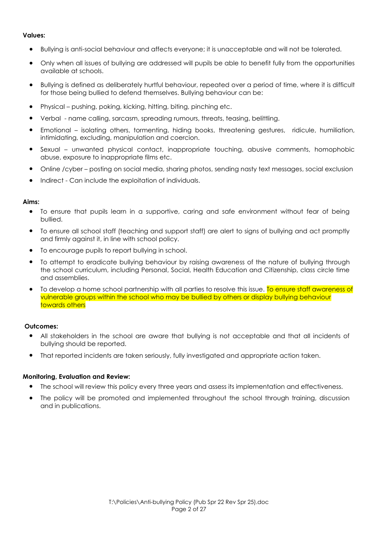#### **Values:**

- Bullying is anti-social behaviour and affects everyone; it is unacceptable and will not be tolerated.
- Only when all issues of bullying are addressed will pupils be able to benefit fully from the opportunities available at schools.
- Bullying is defined as deliberately hurtful behaviour, repeated over a period of time, where it is difficult for those being bullied to defend themselves. Bullying behaviour can be:
- Physical pushing, poking, kicking, hitting, biting, pinching etc.
- Verbal name calling, sarcasm, spreading rumours, threats, teasing, belittling.
- Emotional isolating others, tormenting, hiding books, threatening gestures, ridicule, humiliation, intimidating, excluding, manipulation and coercion.
- Sexual unwanted physical contact, inappropriate touching, abusive comments, homophobic abuse, exposure to inappropriate films etc.
- Online /cyber posting on social media, sharing photos, sending nasty text messages, social exclusion
- Indirect Can include the exploitation of individuals.

#### **Aims:**

- To ensure that pupils learn in a supportive, caring and safe environment without fear of being bullied.
- To ensure all school staff (teaching and support staff) are alert to signs of bullying and act promptly and firmly against it, in line with school policy.
- To encourage pupils to report bullying in school.
- To attempt to eradicate bullying behaviour by raising awareness of the nature of bullying through the school curriculum, including Personal, Social, Health Education and Citizenship, class circle time and assemblies.
- To develop a home school partnership with all parties to resolve this issue. To ensure staff awareness of vulnerable groups within the school who may be bullied by others or display bullying behaviour towards others

#### **Outcomes:**

- All stakeholders in the school are aware that bullying is not acceptable and that all incidents of bullying should be reported.
- That reported incidents are taken seriously, fully investigated and appropriate action taken.

#### **Monitoring, Evaluation and Review:**

- The school will review this policy every three years and assess its implementation and effectiveness.
- The policy will be promoted and implemented throughout the school through training, discussion and in publications.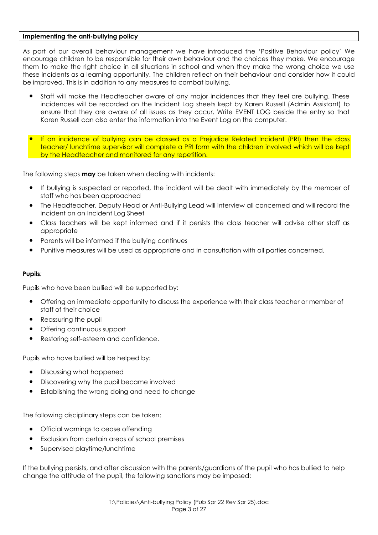#### **Implementing the anti-bullying policy**

As part of our overall behaviour management we have introduced the 'Positive Behaviour policy' We encourage children to be responsible for their own behaviour and the choices they make. We encourage them to make the right choice in all situations in school and when they make the wrong choice we use these incidents as a learning opportunity. The children reflect on their behaviour and consider how it could be improved. This is in addition to any measures to combat bullying.

- Staff will make the Headteacher aware of any major incidences that they feel are bullying. These incidences will be recorded on the Incident Log sheets kept by Karen Russell (Admin Assistant) to ensure that they are aware of all issues as they occur. Write EVENT LOG beside the entry so that Karen Russell can also enter the information into the Event Log on the computer.
- If an incidence of bullying can be classed as a Prejudice Related Incident (PRI) then the class teacher/ lunchtime supervisor will complete a PRI form with the children involved which will be kept by the Headteacher and monitored for any repetition.

The following steps **may** be taken when dealing with incidents:

- If bullying is suspected or reported, the incident will be dealt with immediately by the member of staff who has been approached
- The Headteacher, Deputy Head or Anti-Bullying Lead will interview all concerned and will record the incident on an Incident Log Sheet
- Class teachers will be kept informed and if it persists the class teacher will advise other staff as appropriate
- Parents will be informed if the bullying continues
- Punitive measures will be used as appropriate and in consultation with all parties concerned.

## **Pupils***:*

Pupils who have been bullied will be supported by:

- Offering an immediate opportunity to discuss the experience with their class teacher or member of staff of their choice
- Reassuring the pupil
- Offering continuous support
- Restoring self-esteem and confidence.

Pupils who have bullied will be helped by:

- Discussing what happened
- Discovering why the pupil became involved
- Establishing the wrong doing and need to change

The following disciplinary steps can be taken:

- Official warnings to cease offending
- Exclusion from certain areas of school premises
- Supervised playtime/lunchtime

If the bullying persists, and after discussion with the parents/guardians of the pupil who has bullied to help change the attitude of the pupil, the following sanctions may be imposed: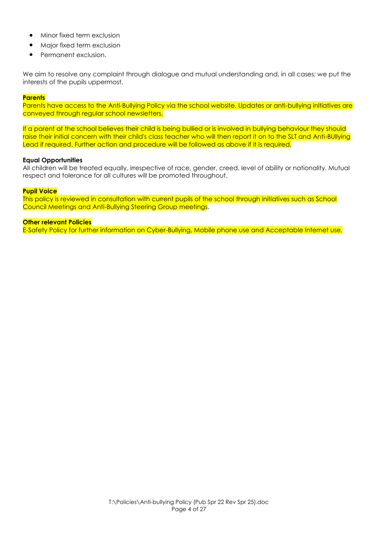- Minor fixed term exclusion
- Major fixed term exclusion
- Permanent exclusion.

We aim to resolve any complaint through dialogue and mutual understanding and, in all cases; we put the interests of the pupils uppermost.

#### **Parents**

Parents have access to the Anti-Bullying Policy via the school website. Updates or anti-bullying initiatives are conveyed through regular school newsletters.

If a parent at the school believes their child is being bullied or is involved in bullying behaviour they should raise their initial concern with their child's class teacher who will then report it on to the SLT and Anti-BUllying Lead if required. Further action and procedure will be followed as above if it is required.

#### **Equal Opportunities**

All children will be treated equally, irrespective of race, gender, creed, level of ability or nationality. Mutual respect and tolerance for all cultures will be promoted throughout.

#### **Pupil Voice**

This policy is reviewed in consultation with current pupils of the school through initiatives such as School Council Meetings and Anti-Bullying Steering Group meetings.

#### **Other relevant Policies**

E-Safety Policy for further information on Cyber-Bullying, Mobile phone use and Acceptable Internet use.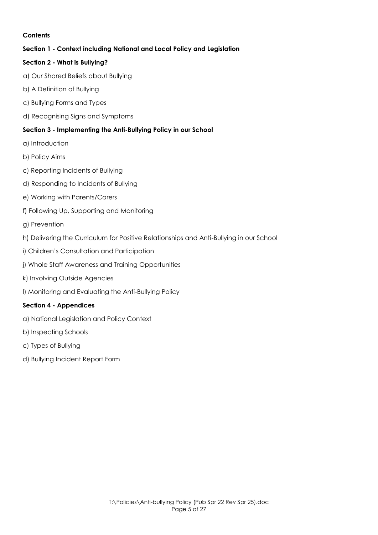## **Contents**

## **Section 1 - Context including National and Local Policy and Legislation**

## **Section 2 - What is Bullying?**

- a) Our Shared Beliefs about Bullying
- b) A Definition of Bullying
- c) Bullying Forms and Types
- d) Recognising Signs and Symptoms

## **Section 3 - Implementing the Anti-Bullying Policy in our School**

- a) Introduction
- b) Policy Aims
- c) Reporting Incidents of Bullying
- d) Responding to Incidents of Bullying
- e) Working with Parents/Carers
- f) Following Up, Supporting and Monitoring
- g) Prevention
- h) Delivering the Curriculum for Positive Relationships and Anti-Bullying in our School
- i) Children's Consultation and Participation
- j) Whole Staff Awareness and Training Opportunities
- k) Involving Outside Agencies
- l) Monitoring and Evaluating the Anti-Bullying Policy

## **Section 4 - Appendices**

- a) National Legislation and Policy Context
- b) Inspecting Schools
- c) Types of Bullying
- d) Bullying Incident Report Form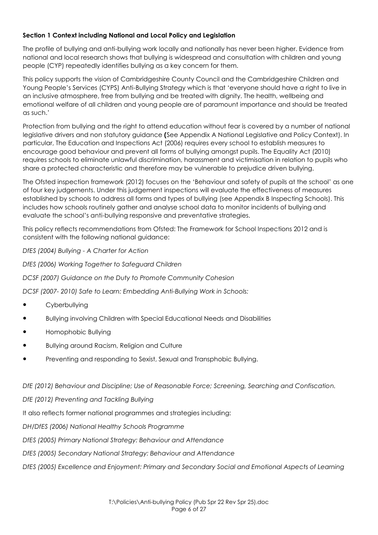## **Section 1 Context including National and Local Policy and Legislation**

The profile of bullying and anti-bullying work locally and nationally has never been higher. Evidence from national and local research shows that bullying is widespread and consultation with children and young people (CYP) repeatedly identifies bullying as a key concern for them.

This policy supports the vision of Cambridgeshire County Council and the Cambridgeshire Children and Young People's Services (CYPS) Anti-Bullying Strategy which is that 'everyone should have a right to live in an inclusive atmosphere, free from bullying and be treated with dignity. The health, wellbeing and emotional welfare of all children and young people are of paramount importance and should be treated as such.'

Protection from bullying and the right to attend education without fear is covered by a number of national legislative drivers and non statutory guidance **(**See Appendix A National Legislative and Policy Context). In particular, The Education and Inspections Act (2006) requires every school to establish measures to encourage good behaviour and prevent all forms of bullying amongst pupils. The Equality Act (2010) requires schools to eliminate unlawful discrimination, harassment and victimisation in relation to pupils who share a protected characteristic and therefore may be vulnerable to prejudice driven bullying.

The Ofsted inspection framework (2012) focuses on the 'Behaviour and safety of pupils at the school' as one of four key judgements. Under this judgement inspections will evaluate the effectiveness of measures established by schools to address all forms and types of bullying (see Appendix B Inspecting Schools). This includes how schools routinely gather and analyse school data to monitor incidents of bullying and evaluate the school's anti-bullying responsive and preventative strategies.

This policy reflects recommendations from Ofsted: The Framework for School Inspections 2012 and is consistent with the following national guidance:

*DfES (2004) Bullying - A Charter for Action* 

*DfES (2006) Working Together to Safeguard Children* 

*DCSF (2007) Guidance on the Duty to Promote Community Cohesion* 

*DCSF (2007- 2010) Safe to Learn: Embedding Anti-Bullying Work in Schools:* 

- Cyberbullying
- Bullying involving Children with Special Educational Needs and Disabilities
- Homophobic Bullying
- Bullying around Racism, Religion and Culture
- Preventing and responding to Sexist, Sexual and Transphobic Bullying.

*DfE (2012) Behaviour and Discipline; Use of Reasonable Force; Screening, Searching and Confiscation.* 

*DfE (2012) Preventing and Tackling Bullying* 

It also reflects former national programmes and strategies including:

*DH/DfES (2006) National Healthy Schools Programme* 

*DfES (2005) Primary National Strategy: Behaviour and Attendance* 

*DfES (2005) Secondary National Strategy: Behaviour and Attendance* 

*DfES (2005) Excellence and Enjoyment: Primary and Secondary Social and Emotional Aspects of Learning*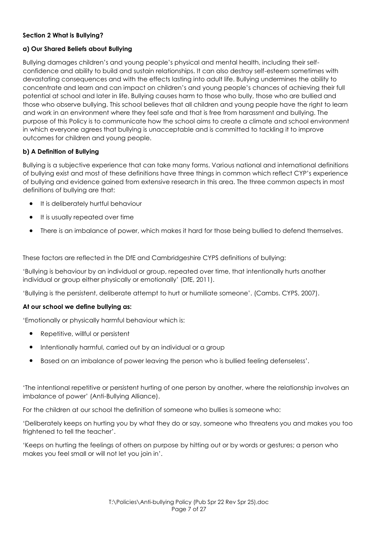## **Section 2 What is Bullying?**

## **a) Our Shared Beliefs about Bullying**

Bullying damages children's and young people's physical and mental health, including their selfconfidence and ability to build and sustain relationships. It can also destroy self-esteem sometimes with devastating consequences and with the effects lasting into adult life. Bullying undermines the ability to concentrate and learn and can impact on children's and young people's chances of achieving their full potential at school and later in life. Bullying causes harm to those who bully, those who are bullied and those who observe bullying. This school believes that all children and young people have the right to learn and work in an environment where they feel safe and that is free from harassment and bullying. The purpose of this Policy is to communicate how the school aims to create a climate and school environment in which everyone agrees that bullying is unacceptable and is committed to tackling it to improve outcomes for children and young people.

## **b) A Definition of Bullying**

Bullying is a subjective experience that can take many forms. Various national and international definitions of bullying exist and most of these definitions have three things in common which reflect CYP's experience of bullying and evidence gained from extensive research in this area. The three common aspects in most definitions of bullying are that:

- It is deliberately hurtful behaviour
- It is usually repeated over time
- There is an imbalance of power, which makes it hard for those being bullied to defend themselves.

These factors are reflected in the DfE and Cambridgeshire CYPS definitions of bullying:

'Bullying is behaviour by an individual or group, repeated over time, that intentionally hurts another individual or group either physically or emotionally' (DfE, 2011).

'Bullying is the persistent, deliberate attempt to hurt or humiliate someone'. (Cambs. CYPS, 2007).

## **At our school we define bullying as:**

'Emotionally or physically harmful behaviour which is:

- Repetitive, willful or persistent
- Intentionally harmful, carried out by an individual or a group
- Based on an imbalance of power leaving the person who is bullied feeling defenseless'.

'The intentional repetitive or persistent hurting of one person by another, where the relationship involves an imbalance of power' (Anti-Bullying Alliance).

For the children at our school the definition of someone who bullies is someone who:

'Deliberately keeps on hurting you by what they do or say, someone who threatens you and makes you too frightened to tell the teacher'.

'Keeps on hurting the feelings of others on purpose by hitting out or by words or gestures; a person who makes you feel small or will not let you join in'.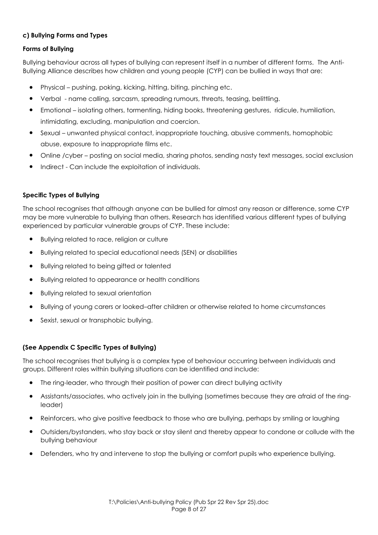## **c) Bullying Forms and Types**

## **Forms of Bullying**

Bullying behaviour across all types of bullying can represent itself in a number of different forms. The Anti-Bullying Alliance describes how children and young people (CYP) can be bullied in ways that are:

- Physical pushing, poking, kicking, hitting, biting, pinching etc.
- Verbal name calling, sarcasm, spreading rumours, threats, teasing, belittling.
- Emotional isolating others, tormenting, hiding books, threatening gestures, ridicule, humiliation, intimidating, excluding, manipulation and coercion.
- Sexual unwanted physical contact, inappropriate touching, abusive comments, homophobic abuse, exposure to inappropriate films etc.
- Online /cyber posting on social media, sharing photos, sending nasty text messages, social exclusion
- Indirect Can include the exploitation of individuals.

## **Specific Types of Bullying**

The school recognises that although anyone can be bullied for almost any reason or difference, some CYP may be more vulnerable to bullying than others. Research has identified various different types of bullying experienced by particular vulnerable groups of CYP. These include:

- Bullying related to race, religion or culture
- Bullying related to special educational needs (SEN) or disabilities
- Bullying related to being gifted or talented
- Bullying related to appearance or health conditions
- Bullying related to sexual orientation
- Bullying of young carers or looked-after children or otherwise related to home circumstances
- Sexist, sexual or transphobic bullying.

## **(See Appendix C Specific Types of Bullying)**

The school recognises that bullying is a complex type of behaviour occurring between individuals and groups. Different roles within bullying situations can be identified and include:

- The ring-leader, who through their position of power can direct bullying activity
- Assistants/associates, who actively join in the bullying (sometimes because they are afraid of the ringleader)
- Reinforcers, who give positive feedback to those who are bullying, perhaps by smiling or laughing
- Outsiders/bystanders, who stay back or stay silent and thereby appear to condone or collude with the bullying behaviour
- Defenders, who try and intervene to stop the bullying or comfort pupils who experience bullying.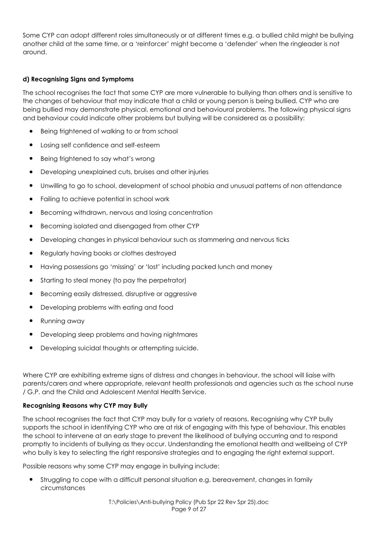Some CYP can adopt different roles simultaneously or at different times e.g. a bullied child might be bullying another child at the same time, or a 'reinforcer' might become a 'defender' when the ringleader is not around.

## **d) Recognising Signs and Symptoms**

The school recognises the fact that some CYP are more vulnerable to bullying than others and is sensitive to the changes of behaviour that may indicate that a child or young person is being bullied. CYP who are being bullied may demonstrate physical, emotional and behavioural problems. The following physical signs and behaviour could indicate other problems but bullying will be considered as a possibility:

- Being frightened of walking to or from school
- Losing self confidence and self-esteem
- Being frightened to say what's wrong
- Developing unexplained cuts, bruises and other injuries
- Unwilling to go to school, development of school phobia and unusual patterns of non attendance
- Failing to achieve potential in school work
- Becoming withdrawn, nervous and losing concentration
- Becoming isolated and disengaged from other CYP
- Developing changes in physical behaviour such as stammering and nervous ticks
- Regularly having books or clothes destroyed
- Having possessions go 'missing' or 'lost' including packed lunch and money
- Starting to steal money (to pay the perpetrator)
- Becoming easily distressed, disruptive or aggressive
- Developing problems with eating and food
- Running away
- Developing sleep problems and having nightmares
- Developing suicidal thoughts or attempting suicide.

Where CYP are exhibiting extreme signs of distress and changes in behaviour, the school will liaise with parents/carers and where appropriate, relevant health professionals and agencies such as the school nurse / G.P. and the Child and Adolescent Mental Health Service.

## **Recognising Reasons why CYP may Bully**

The school recognises the fact that CYP may bully for a variety of reasons. Recognising why CYP bully supports the school in identifying CYP who are at risk of engaging with this type of behaviour. This enables the school to intervene at an early stage to prevent the likelihood of bullying occurring and to respond promptly to incidents of bullying as they occur. Understanding the emotional health and wellbeing of CYP who bully is key to selecting the right responsive strategies and to engaging the right external support.

Possible reasons why some CYP may engage in bullying include:

Struggling to cope with a difficult personal situation e.g. bereavement, changes in family circumstances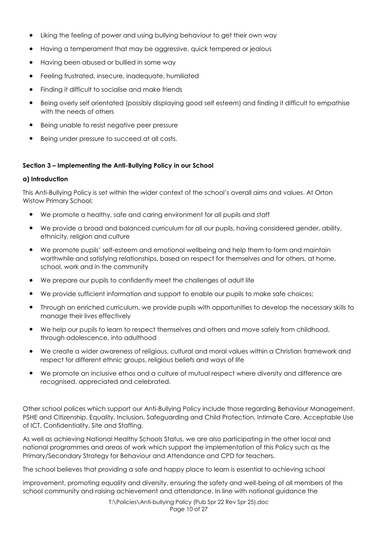- Liking the feeling of power and using bullying behaviour to get their own way
- Having a temperament that may be aggressive, quick tempered or jealous
- Having been abused or bullied in some way
- Feeling frustrated, insecure, inadequate, humiliated
- Finding it difficult to socialise and make friends
- Being overly self orientated (possibly displaying good self esteem) and finding it difficult to empathise with the needs of others
- Being unable to resist negative peer pressure
- Being under pressure to succeed at all costs.

## **Section 3 – Implementing the Anti-Bullying Policy in our School**

## **a) Introduction**

This Anti-Bullying Policy is set within the wider context of the school's overall aims and values. At Orton Wistow Primary School;

- We promote a healthy, safe and caring environment for all pupils and staff
- We provide a broad and balanced curriculum for all our pupils, having considered gender, ability, ethnicity, religion and culture
- We promote pupils' self-esteem and emotional wellbeing and help them to form and maintain worthwhile and satisfying relationships, based on respect for themselves and for others, at home, school, work and in the community
- We prepare our pupils to confidently meet the challenges of adult life
- We provide sufficient information and support to enable our pupils to make safe choices;
- Through an enriched curriculum, we provide pupils with opportunities to develop the necessary skills to manage their lives effectively
- We help our pupils to learn to respect themselves and others and move safely from childhood, through adolescence, into adulthood
- We create a wider awareness of religious, cultural and moral values within a Christian framework and respect for different ethnic groups, religious beliefs and ways of life
- We promote an inclusive ethos and a culture of mutual respect where diversity and difference are recognised, appreciated and celebrated.

Other school polices which support our Anti-Bullying Policy include those regarding Behaviour Management, PSHE and Citizenship, Equality, Inclusion, Safeguarding and Child Protection, Intimate Care, Acceptable Use of ICT, Confidentiality, Site and Staffing.

As well as achieving National Healthy Schools Status, we are also participating in the other local and national programmes and areas of work which support the implementation of this Policy such as the Primary/Secondary Strategy for Behaviour and Attendance and CPD for teachers.

The school believes that providing a safe and happy place to learn is essential to achieving school

improvement, promoting equality and diversity, ensuring the safety and well-being of all members of the school community and raising achievement and attendance. In line with national guidance the

> T:\Policies\Anti-bullying Policy (Pub Spr 22 Rev Spr 25).doc Page 10 of 27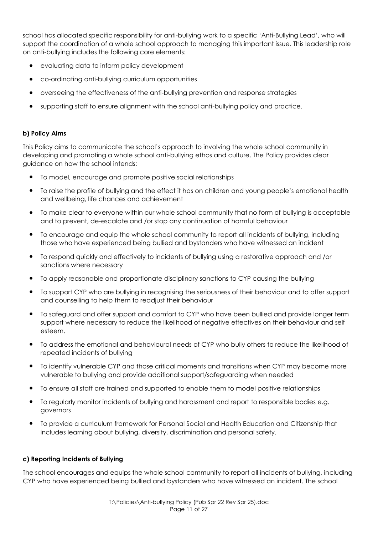school has allocated specific responsibility for anti-bullying work to a specific 'Anti-Bullying Lead', who will support the coordination of a whole school approach to managing this important issue. This leadership role on anti-bullying includes the following core elements:

- evaluating data to inform policy development
- co-ordinating anti-bullying curriculum opportunities
- overseeing the effectiveness of the anti-bullying prevention and response strategies
- supporting staff to ensure alignment with the school anti-bullying policy and practice.

## **b) Policy Aims**

This Policy aims to communicate the school's approach to involving the whole school community in developing and promoting a whole school anti-bullying ethos and culture. The Policy provides clear guidance on how the school intends:

- To model, encourage and promote positive social relationships
- To raise the profile of bullying and the effect it has on children and young people's emotional health and wellbeing, life chances and achievement
- To make clear to everyone within our whole school community that no form of bullying is acceptable and to prevent, de-escalate and /or stop any continuation of harmful behaviour
- To encourage and equip the whole school community to report all incidents of bullying, including those who have experienced being bullied and bystanders who have witnessed an incident
- To respond quickly and effectively to incidents of bullying using a restorative approach and /or sanctions where necessary
- To apply reasonable and proportionate disciplinary sanctions to CYP causing the bullying
- To support CYP who are bullying in recognising the seriousness of their behaviour and to offer support and counselling to help them to readjust their behaviour
- To safeguard and offer support and comfort to CYP who have been bullied and provide longer term support where necessary to reduce the likelihood of negative effectives on their behaviour and self esteem.
- To address the emotional and behavioural needs of CYP who bully others to reduce the likelihood of repeated incidents of bullying
- To identify vulnerable CYP and those critical moments and transitions when CYP may become more vulnerable to bullying and provide additional support/safeguarding when needed
- To ensure all staff are trained and supported to enable them to model positive relationships
- To regularly monitor incidents of bullying and harassment and report to responsible bodies e.g. governors
- To provide a curriculum framework for Personal Social and Health Education and Citizenship that includes learning about bullying, diversity, discrimination and personal safety.

## **c) Reporting Incidents of Bullying**

The school encourages and equips the whole school community to report all incidents of bullying, including CYP who have experienced being bullied and bystanders who have witnessed an incident. The school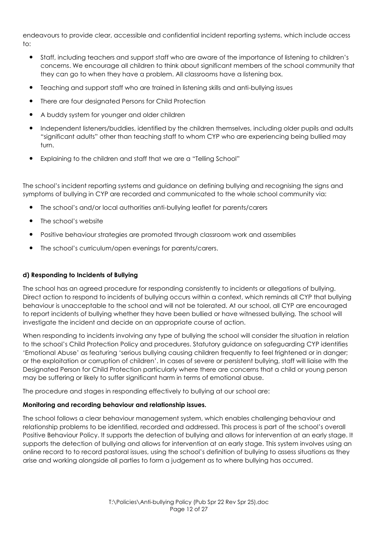endeavours to provide clear, accessible and confidential incident reporting systems, which include access to:

- Staff, including teachers and support staff who are aware of the importance of listening to children's concerns. We encourage all children to think about significant members of the school community that they can go to when they have a problem. All classrooms have a listening box.
- Teaching and support staff who are trained in listening skills and anti-bullying issues
- There are four designated Persons for Child Protection
- A buddy system for younger and older children
- Independent listeners/buddies, identified by the children themselves, including older pupils and adults "significant adults" other than teaching staff to whom CYP who are experiencing being bullied may turn.
- Explaining to the children and staff that we are a "Telling School"

The school's incident reporting systems and guidance on defining bullying and recognising the signs and symptoms of bullying in CYP are recorded and communicated to the whole school community via:

- The school's and/or local authorities anti-bullying leaflet for parents/carers
- The school's website
- Positive behaviour strategies are promoted through classroom work and assemblies
- The school's curriculum/open evenings for parents/carers.

## **d) Responding to Incidents of Bullying**

The school has an agreed procedure for responding consistently to incidents or allegations of bullying. Direct action to respond to incidents of bullying occurs within a context, which reminds all CYP that bullying behaviour is unacceptable to the school and will not be tolerated. At our school, all CYP are encouraged to report incidents of bullying whether they have been bullied or have witnessed bullying*.* The school will investigate the incident and decide on an appropriate course of action.

When responding to incidents involving any type of bullying the school will consider the situation in relation to the school's Child Protection Policy and procedures. Statutory guidance on safeguarding CYP identifies 'Emotional Abuse' as featuring 'serious bullying causing children frequently to feel frightened or in danger; or the exploitation or corruption of children'. In cases of severe or persistent bullying, staff will liaise with the Designated Person for Child Protection particularly where there are concerns that a child or young person may be suffering or likely to suffer significant harm in terms of emotional abuse.

The procedure and stages in responding effectively to bullying at our school are:

## **Monitoring and recording behaviour and relationship issues.**

The school follows a clear behaviour management system, which enables challenging behaviour and relationship problems to be identified, recorded and addressed. This process is part of the school's overall Positive Behaviour Policy. It supports the detection of bullying and allows for intervention at an early stage. It supports the detection of bullying and allows for intervention at an early stage. This system involves using an online record to to record pastoral issues, using the school's definition of bullying to assess situations as they arise and working alongside all parties to form a judgement as to where bullying has occurred.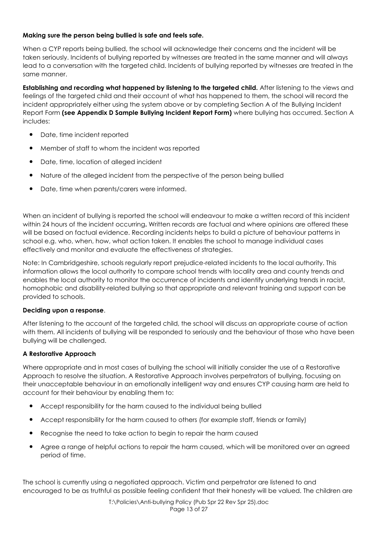## **Making sure the person being bullied is safe and feels safe.**

When a CYP reports being bullied, the school will acknowledge their concerns and the incident will be taken seriously. Incidents of bullying reported by witnesses are treated in the same manner and will always lead to a conversation with the targeted child. Incidents of bullying reported by witnesses are treated in the same manner.

**Establishing and recording what happened by listening to the targeted child.** After listening to the views and feelings of the targeted child and their account of what has happened to them, the school will record the incident appropriately either using the system above or by completing Section A of the Bullying Incident Report Form **(see Appendix D Sample Bullying Incident Report Form)** where bullying has occurred. Section A includes:

- Date, time incident reported
- Member of staff to whom the incident was reported
- Date, time, location of alleged incident
- Nature of the alleged incident from the perspective of the person being bullied
- Date, time when parents/carers were informed.

When an incident of bullying is reported the school will endeavour to make a written record of this incident within 24 hours of the incident occurring**.** Written records are factual and where opinions are offered these will be based on factual evidence. Recording incidents helps to build a picture of behaviour patterns in school e.g. who, when, how, what action taken. It enables the school to manage individual cases effectively and monitor and evaluate the effectiveness of strategies.

Note: In Cambridgeshire, schools regularly report prejudice-related incidents to the local authority. This information allows the local authority to compare school trends with locality area and county trends and enables the local authority to monitor the occurrence of incidents and identify underlying trends in racist, homophobic and disability-related bullying so that appropriate and relevant training and support can be provided to schools.

## **Deciding upon a response**.

After listening to the account of the targeted child, the school will discuss an appropriate course of action with them. All incidents of bullying will be responded to seriously and the behaviour of those who have been bullying will be challenged.

## **A Restorative Approach**

Where appropriate and in most cases of bullying the school will initially consider the use of a Restorative Approach to resolve the situation. A Restorative Approach involves perpetrators of bullying, focusing on their unacceptable behaviour in an emotionally intelligent way and ensures CYP causing harm are held to account for their behaviour by enabling them to:

- Accept responsibility for the harm caused to the individual being bullied
- Accept responsibility for the harm caused to others (for example staff, friends or family)
- Recognise the need to take action to begin to repair the harm caused
- Agree a range of helpful actions to repair the harm caused, which will be monitored over an agreed period of time.

The school is currently using a negotiated approach. Victim and perpetrator are listened to and encouraged to be as truthful as possible feeling confident that their honesty will be valued. The children are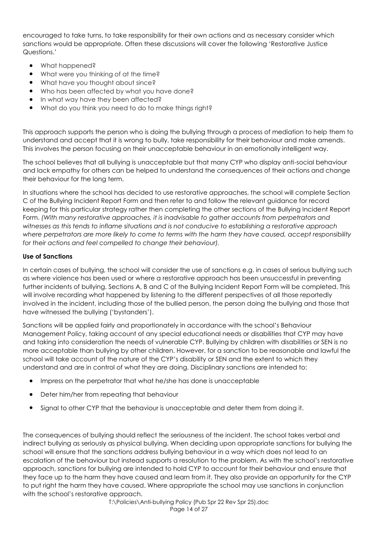encouraged to take turns, to take responsibility for their own actions and as necessary consider which sanctions would be appropriate. Often these discussions will cover the following 'Restorative Justice Questions.'

- What happened?
- What were you thinking of at the time?
- What have you thought about since?
- Who has been affected by what you have done?
- In what way have they been affected?
- What do you think you need to do to make things right?

This approach supports the person who is doing the bullying through a process of mediation to help them to understand and accept that it is wrong to bully, take responsibility for their behaviour and make amends. This involves the person focusing on their unacceptable behaviour in an emotionally intelligent way.

The school believes that all bullying is unacceptable but that many CYP who display anti-social behaviour and lack empathy for others can be helped to understand the consequences of their actions and change their behaviour for the long term.

In situations where the school has decided to use restorative approaches, the school will complete Section C of the Bullying Incident Report Form and then refer to and follow the relevant guidance for record keeping for this particular strategy rather then completing the other sections of the Bullying Incident Report Form. *(With many restorative approaches, it is inadvisable to gather accounts from perpetrators and witnesses as this tends to inflame situations and is not conducive to establishing a restorative approach where perpetrators are more likely to come to terms with the harm they have caused, accept responsibility for their actions and feel compelled to change their behaviour).* 

## **Use of Sanctions**

In certain cases of bullying, the school will consider the use of sanctions e.g. in cases of serious bullying such as where violence has been used or where a restorative approach has been unsuccessful in preventing further incidents of bullying. Sections A, B and C of the Bullying Incident Report Form will be completed. This will involve recording what happened by listening to the different perspectives of all those reportedly involved in the incident, including those of the bullied person, the person doing the bullying and those that have witnessed the bullying ('bystanders').

Sanctions will be applied fairly and proportionately in accordance with the school's Behaviour Management Policy, taking account of any special educational needs or disabilities that CYP may have and taking into consideration the needs of vulnerable CYP. Bullying by children with disabilities or SEN is no more acceptable than bullying by other children. However, for a sanction to be reasonable and lawful the school will take account of the nature of the CYP's disability or SEN and the extent to which they understand and are in control of what they are doing. Disciplinary sanctions are intended to:

- Impress on the perpetrator that what he/she has done is unacceptable
- Deter him/her from repeating that behaviour
- Signal to other CYP that the behaviour is unacceptable and deter them from doing it.

The consequences of bullying should reflect the seriousness of the incident. The school takes verbal and indirect bullying as seriously as physical bullying. When deciding upon appropriate sanctions for bullying the school will ensure that the sanctions address bullying behaviour in a way which does not lead to an escalation of the behaviour but instead supports a resolution to the problem. As with the school's restorative approach, sanctions for bullying are intended to hold CYP to account for their behaviour and ensure that they face up to the harm they have caused and learn from it. They also provide an opportunity for the CYP to put right the harm they have caused. Where appropriate the school may use sanctions in conjunction with the school's restorative approach.

T:\Policies\Anti-bullying Policy (Pub Spr 22 Rev Spr 25).doc Page 14 of 27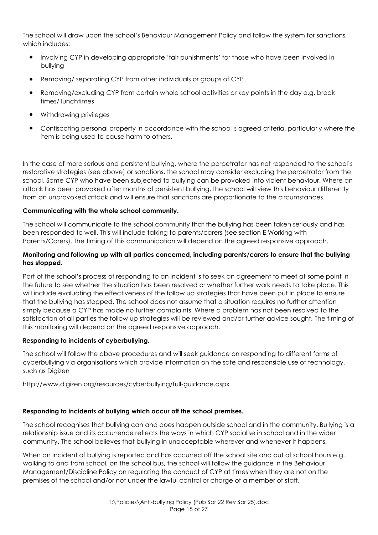The school will draw upon the school's Behaviour Management Policy and follow the system for sanctions, which includes:

- Involving CYP in developing appropriate 'fair punishments' for those who have been involved in bullying
- Removing/ separating CYP from other individuals or groups of CYP
- Removing/excluding CYP from certain whole school activities or key points in the day e.g. break times/ lunchtimes
- Withdrawing privileges
- Confiscating personal property in accordance with the school's agreed criteria, particularly where the item is being used to cause harm to others.

In the case of more serious and persistent bullying, where the perpetrator has not responded to the school's restorative strategies (see above) or sanctions, the school may consider excluding the perpetrator from the school. Some CYP who have been subjected to bullying can be provoked into violent behaviour. Where an attack has been provoked after months of persistent bullying, the school will view this behaviour differently from an unprovoked attack and will ensure that sanctions are proportionate to the circumstances.

## **Communicating with the whole school community.**

The school will communicate to the school community that the bullying has been taken seriously and has been responded to well. This will include talking to parents/carers (see section E Working with Parents/Carers). The timing of this communication will depend on the agreed responsive approach.

## **Monitoring and following up with all parties concerned, including parents/carers to ensure that the bullying has stopped.**

Part of the school's process of responding to an incident is to seek an agreement to meet at some point in the future to see whether the situation has been resolved or whether further work needs to take place. This will include evaluating the effectiveness of the follow up strategies that have been put in place to ensure that the bullying has stopped. The school does not assume that a situation requires no further attention simply because a CYP has made no further complaints. Where a problem has not been resolved to the satisfaction of all parties the follow up strategies will be reviewed and/or further advice sought*.* The timing of this monitoring will depend on the agreed responsive approach.

## **Responding to incidents of cyberbullying.**

The school will follow the above procedures and will seek guidance on responding to different forms of cyberbullying via organisations which provide information on the safe and responsible use of technology, such as Digizen

http://www.digizen.org/resources/cyberbullying/full-guidance.aspx

## **Responding to incidents of bullying which occur off the school premises.**

The school recognises that bullying can and does happen outside school and in the community. Bullying is a relationship issue and its occurrence reflects the ways in which CYP socialise in school and in the wider community. The school believes that bullying in unacceptable wherever and whenever it happens.

When an incident of bullying is reported and has occurred off the school site and out of school hours e.g. walking to and from school, on the school bus, the school will follow the guidance in the Behaviour Management/Discipline Policy on regulating the conduct of CYP at times when they are not on the premises of the school and/or not under the lawful control or charge of a member of staff.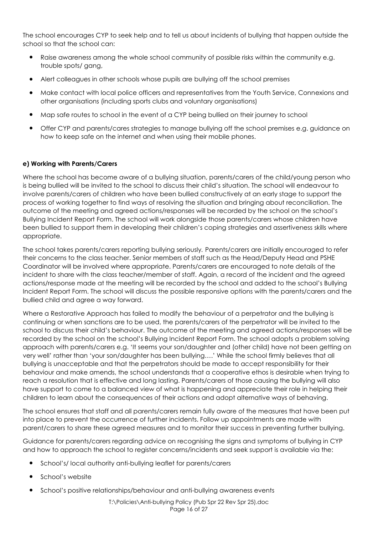The school encourages CYP to seek help and to tell us about incidents of bullying that happen outside the school so that the school can:

- Raise awareness among the whole school community of possible risks within the community e.g. trouble spots/ gang,
- Alert colleagues in other schools whose pupils are bullying off the school premises
- Make contact with local police officers and representatives from the Youth Service, Connexions and other organisations (including sports clubs and voluntary organisations)
- Map safe routes to school in the event of a CYP being bullied on their journey to school
- Offer CYP and parents/cares strategies to manage bullying off the school premises e.g. guidance on how to keep safe on the internet and when using their mobile phones.

## **e) Working with Parents/Carers**

Where the school has become aware of a bullying situation, parents/carers of the child/young person who is being bullied will be invited to the school to discuss their child's situation. The school will endeavour to involve parents/carers of children who have been bullied constructively at an early stage to support the process of working together to find ways of resolving the situation and bringing about reconciliation. The outcome of the meeting and agreed actions/responses will be recorded by the school on the school's Bullying Incident Report Form. The school will work alongside those parents/carers whose children have been bullied to support them in developing their children's coping strategies and assertiveness skills where appropriate.

The school takes parents/carers reporting bullying seriously*.* Parents/carers are initially encouraged to refer their concerns to the class teacher. Senior members of staff such as the Head/Deputy Head and PSHE Coordinator will be involved where appropriate. Parents/carers are encouraged to note details of the incident to share with the class teacher/member of staff. Again, a record of the incident and the agreed actions/response made at the meeting will be recorded by the school and added to the school's Bullying Incident Report Form. The school will discuss the possible responsive options with the parents/carers and the bullied child and agree a way forward.

Where a Restorative Approach has failed to modify the behaviour of a perpetrator and the bullying is continuing or when sanctions are to be used, the parents/carers of the perpetrator will be invited to the school to discuss their child's behaviour. The outcome of the meeting and agreed actions/responses will be recorded by the school on the school's Bullying Incident Report Form. The school adopts a problem solving approach with parents/carers e.g. 'It seems your son/daughter and (other child) have not been getting on very well' rather than 'your son/daughter has been bullying….' While the school firmly believes that all bullying is unacceptable and that the perpetrators should be made to accept responsibility for their behaviour and make amends, the school understands that a cooperative ethos is desirable when trying to reach a resolution that is effective and long lasting. Parents/carers of those causing the bullying will also have support to come to a balanced view of what is happening and appreciate their role in helping their children to learn about the consequences of their actions and adopt alternative ways of behaving.

The school ensures that staff and all parents/carers remain fully aware of the measures that have been put into place to prevent the occurrence of further incidents. Follow up appointments are made with parent/carers to share these agreed measures and to monitor their success in preventing further bullying.

Guidance for parents/carers regarding advice on recognising the signs and symptoms of bullying in CYP and how to approach the school to register concerns/incidents and seek support is available via the:

- School's/ local authority anti-bullying leaflet for parents/carers
- School's website
- School's positive relationships/behaviour and anti-bullying awareness events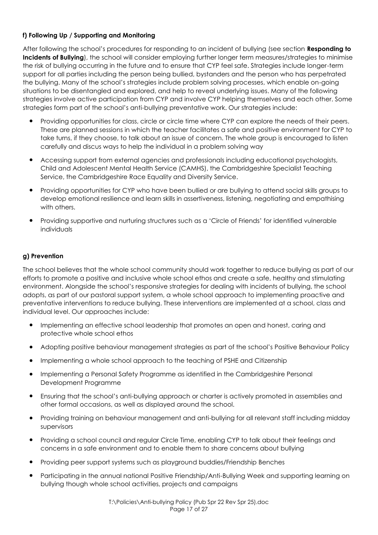## **f) Following Up / Supporting and Monitoring**

After following the school's procedures for responding to an incident of bullying (see section **Responding to Incidents of Bullying**), the school will consider employing further longer term measures/strategies to minimise the risk of bullying occurring in the future and to ensure that CYP feel safe. Strategies include longer-term support for all parties including the person being bullied, bystanders and the person who has perpetrated the bullying. Many of the school's strategies include problem solving processes, which enable on-going situations to be disentangled and explored, and help to reveal underlying issues. Many of the following strategies involve active participation from CYP and involve CYP helping themselves and each other. Some strategies form part of the school's anti-bullying preventative work. Our strategies include:

- Providing opportunities for class, circle or circle time where CYP can explore the needs of their peers. These are planned sessions in which the teacher facilitates a safe and positive environment for CYP to take turns, if they choose, to talk about an issue of concern. The whole group is encouraged to listen carefully and discus ways to help the individual in a problem solving way
- Accessing support from external agencies and professionals including educational psychologists, Child and Adolescent Mental Health Service (CAMHS), the Cambridgeshire Specialist Teaching Service, the Cambridgeshire Race Equality and Diversity Service.
- Providing opportunities for CYP who have been bullied or are bullying to attend social skills groups to develop emotional resilience and learn skills in assertiveness, listening, negotiating and empathising with others.
- Providing supportive and nurturing structures such as a 'Circle of Friends' for identified vulnerable individuals

## **g) Prevention**

The school believes that the whole school community should work together to reduce bullying as part of our efforts to promote a positive and inclusive whole school ethos and create a safe, healthy and stimulating environment. Alongside the school's responsive strategies for dealing with incidents of bullying, the school adopts, as part of our pastoral support system, a whole school approach to implementing proactive and preventative interventions to reduce bullying. These interventions are implemented at a school, class and individual level. Our approaches include:

- Implementing an effective school leadership that promotes an open and honest, caring and protective whole school ethos
- Adopting positive behaviour management strategies as part of the school's Positive Behaviour Policy
- Implementing a whole school approach to the teaching of PSHE and Citizenship
- Implementing a Personal Safety Programme as identified in the Cambridgeshire Personal Development Programme
- Ensuring that the school's anti-bullying approach or charter is actively promoted in assemblies and other formal occasions, as well as displayed around the school.
- Providing training on behaviour management and anti-bullying for all relevant staff including midday supervisors
- Providing a school council and regular Circle Time, enabling CYP to talk about their feelings and concerns in a safe environment and to enable them to share concerns about bullying
- Providing peer support systems such as playground buddies/Friendship Benches
- Participating in the annual national Positive Friendship/Anti-Bullying Week and supporting learning on bullying though whole school activities, projects and campaigns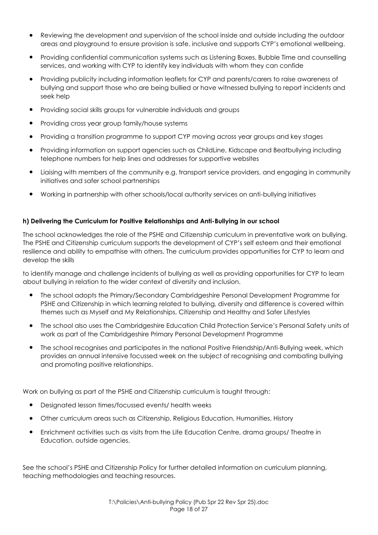- Reviewing the development and supervision of the school inside and outside including the outdoor areas and playground to ensure provision is safe, inclusive and supports CYP's emotional wellbeing.
- Providing confidential communication systems such as Listening Boxes, Bubble Time and counselling services, and working with CYP to identify key individuals with whom they can confide
- Providing publicity including information leaflets for CYP and parents/carers to raise awareness of bullying and support those who are being bullied or have witnessed bullying to report incidents and seek help
- Providing social skills groups for vulnerable individuals and groups
- Providing cross year group family/house systems
- Providing a transition programme to support CYP moving across year groups and key stages
- Providing information on support agencies such as ChildLine, Kidscape and Beatbullying including telephone numbers for help lines and addresses for supportive websites
- Liaising with members of the community e.g. transport service providers, and engaging in community initiatives and safer school partnerships
- Working in partnership with other schools/local authority services on anti-bullying initiatives

#### **h) Delivering the Curriculum for Positive Relationships and Anti-Bullying in our school**

The school acknowledges the role of the PSHE and Citizenship curriculum in preventative work on bullying. The PSHE and Citizenship curriculum supports the development of CYP's self esteem and their emotional resilience and ability to empathise with others. The curriculum provides opportunities for CYP to learn and develop the skills

to identify manage and challenge incidents of bullying as well as providing opportunities for CYP to learn about bullying in relation to the wider context of diversity and inclusion.

- The school adopts the Primary/Secondary Cambridgeshire Personal Development Programme for PSHE and Citizenship in which learning related to bullying, diversity and difference is covered within themes such as Myself and My Relationships, Citizenship and Healthy and Safer Lifestyles
- The school also uses the Cambridgeshire Education Child Protection Service's Personal Safety units of work as part of the Cambridgeshire Primary Personal Development Programme
- The school recognises and participates in the national Positive Friendship/Anti-Bullying week, which provides an annual intensive focussed week on the subject of recognising and combating bullying and promoting positive relationships.

Work on bullying as part of the PSHE and Citizenship curriculum is taught through:

- Designated lesson times/focussed events/ health weeks
- Other curriculum areas such as Citizenship, Religious Education, Humanities, History
- Enrichment activities such as visits from the Life Education Centre, drama groups/ Theatre in Education, outside agencies.

See the school's PSHE and Citizenship Policy for further detailed information on curriculum planning, teaching methodologies and teaching resources.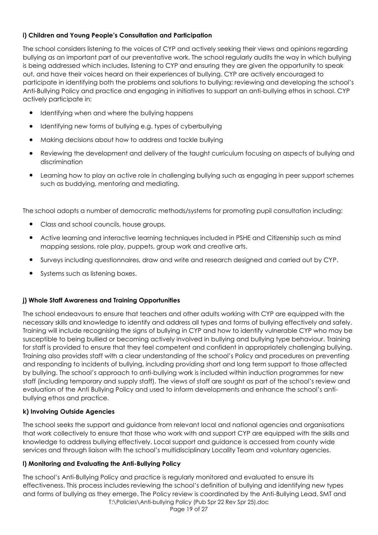## **i) Children and Young People's Consultation and Participation**

The school considers listening to the voices of CYP and actively seeking their views and opinions regarding bullying as an important part of our preventative work. The school regularly audits the way in which bullying is being addressed which includes, listening to CYP and ensuring they are given the opportunity to speak out, and have their voices heard on their experiences of bullying. CYP are actively encouraged to participate in identifying both the problems and solutions to bullying; reviewing and developing the school's Anti-Bullying Policy and practice and engaging in initiatives to support an anti-bullying ethos in school. CYP actively participate in:

- Identifying when and where the bullying happens
- Identifying new forms of bullying e.g. types of cyberbullying
- Making decisions about how to address and tackle bullying
- Reviewing the development and delivery of the taught curriculum focusing on aspects of bullying and discrimination
- Learning how to play an active role in challenging bullying such as engaging in peer support schemes such as buddying, mentoring and mediating.

The school adopts a number of democratic methods/systems for promoting pupil consultation including:

- Class and school councils, house groups,
- Active learning and interactive learning techniques included in PSHE and Citizenship such as mind mapping sessions, role play, puppets, group work and creative arts.
- Surveys including questionnaires, draw and write and research designed and carried out by CYP.
- Systems such as listening boxes.

## **j) Whole Staff Awareness and Training Opportunities**

The school endeavours to ensure that teachers and other adults working with CYP are equipped with the necessary skills and knowledge to identify and address all types and forms of bullying effectively and safely. Training will include recognising the signs of bullying in CYP and how to identify vulnerable CYP who may be susceptible to being bullied or becoming actively involved in bullying and bullying type behaviour. Training for staff is provided to ensure that they feel competent and confident in appropriately challenging bullying. Training also provides staff with a clear understanding of the school's Policy and procedures on preventing and responding to incidents of bullying, including providing short and long term support to those affected by bullying. The school's approach to anti-bullying work is included within induction programmes for new staff (including temporary and supply staff). The views of staff are sought as part of the school's review and evaluation of the Anti Bullying Policy and used to inform developments and enhance the school's antibullying ethos and practice.

## **k) Involving Outside Agencies**

The school seeks the support and guidance from relevant local and national agencies and organisations that work collectively to ensure that those who work with and support CYP are equipped with the skills and knowledge to address bullying effectively. Local support and guidance is accessed from county wide services and through liaison with the school's multidisciplinary Locality Team and voluntary agencies.

## **l) Monitoring and Evaluating the Anti-Bullying Policy**

T:\Policies\Anti-bullying Policy (Pub Spr 22 Rev Spr 25).doc The school's Anti-Bullying Policy and practice is regularly monitored and evaluated to ensure its effectiveness. This process includes reviewing the school's definition of bullying and identifying new types and forms of bullying as they emerge. The Policy review is coordinated by the Anti-Bullying Lead, SMT and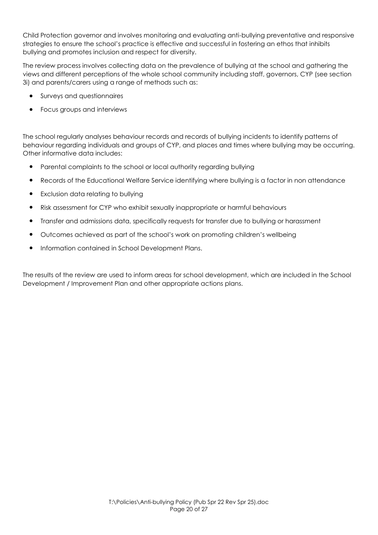Child Protection governor and involves monitoring and evaluating anti-bullying preventative and responsive strategies to ensure the school's practice is effective and successful in fostering an ethos that inhibits bullying and promotes inclusion and respect for diversity.

The review process involves collecting data on the prevalence of bullying at the school and gathering the views and different perceptions of the whole school community including staff, governors, CYP (see section 3i) and parents/carers using a range of methods such as:

- Surveys and questionnaires
- Focus groups and interviews

The school regularly analyses behaviour records and records of bullying incidents to identify patterns of behaviour regarding individuals and groups of CYP, and places and times where bullying may be occurring. Other informative data includes:

- Parental complaints to the school or local authority regarding bullying
- Records of the Educational Welfare Service identifying where bullying is a factor in non attendance
- Exclusion data relating to bullying
- Risk assessment for CYP who exhibit sexually inappropriate or harmful behaviours
- Transfer and admissions data, specifically requests for transfer due to bullying or harassment
- Outcomes achieved as part of the school's work on promoting children's wellbeing
- Information contained in School Development Plans.

The results of the review are used to inform areas for school development, which are included in the School Development / Improvement Plan and other appropriate actions plans.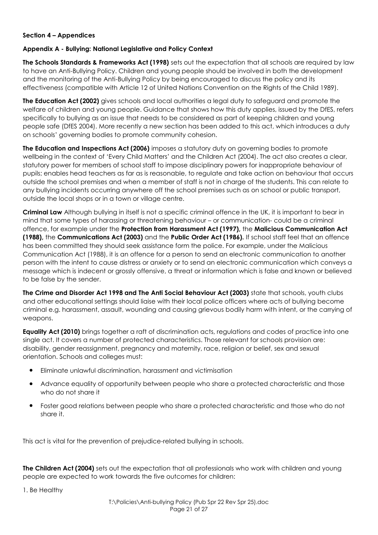## **Section 4 – Appendices**

#### **Appendix A - Bullying: National Legislative and Policy Context**

**The Schools Standards & Frameworks Act (1998)** sets out the expectation that all schools are required by law to have an Anti-Bullying Policy. Children and young people should be involved in both the development and the monitoring of the Anti-Bullying Policy by being encouraged to discuss the policy and its effectiveness (compatible with Article 12 of United Nations Convention on the Rights of the Child 1989).

**The Education Act (2002)** gives schools and local authorities a legal duty to safeguard and promote the welfare of children and young people. Guidance that shows how this duty applies, issued by the DfES, refers specifically to bullying as an issue that needs to be considered as part of keeping children and young people safe (DfES 2004). More recently a new section has been added to this act, which introduces a duty on schools' governing bodies to promote community cohesion.

**The Education and Inspections Act (2006)** imposes a statutory duty on governing bodies to promote wellbeing in the context of 'Every Child Matters' and the Children Act (2004). The act also creates a clear, statutory power for members of school staff to impose disciplinary powers for inappropriate behaviour of pupils; enables head teachers as far as is reasonable, to regulate and take action on behaviour that occurs outside the school premises and when a member of staff is not in charge of the students. This can relate to any bullying incidents occurring anywhere off the school premises such as on school or public transport, outside the local shops or in a town or village centre.

**Criminal Law** Although bullying in itself is not a specific criminal offence in the UK, it is important to bear in mind that some types of harassing or threatening behaviour – or communication- could be a criminal offence, for example under the **Protection from Harassment Act (1997),** the **Malicious Communication Act (1988),** the **Communications Act (2003)** and the **Public Order Act (1986).** If school staff feel that an offence has been committed they should seek assistance form the police. For example, under the Malicious Communication Act (1988), it is an offence for a person to send an electronic communication to another person with the intent to cause distress or anxiety or to send an electronic communication which conveys a message which is indecent or grossly offensive, a threat or information which is false and known or believed to be false by the sender.

**The Crime and Disorder Act 1998 and The Anti Social Behaviour Act (2003)** state that schools, youth clubs and other educational settings should liaise with their local police officers where acts of bullying become criminal e.g. harassment, assault, wounding and causing grievous bodily harm with intent, or the carrying of weapons.

**Equality Act (2010)** brings together a raft of discrimination acts, regulations and codes of practice into one single act. It covers a number of protected characteristics. Those relevant for schools provision are: disability, gender reassignment, pregnancy and maternity, race, religion or belief, sex and sexual orientation. Schools and colleges must:

- Eliminate unlawful discrimination, harassment and victimisation
- Advance equality of opportunity between people who share a protected characteristic and those who do not share it
- Foster good relations between people who share a protected characteristic and those who do not share it.

This act is vital for the prevention of prejudice-related bullying in schools.

**The Children Act (2004)** sets out the expectation that all professionals who work with children and young people are expected to work towards the five outcomes for children:

1. Be Healthy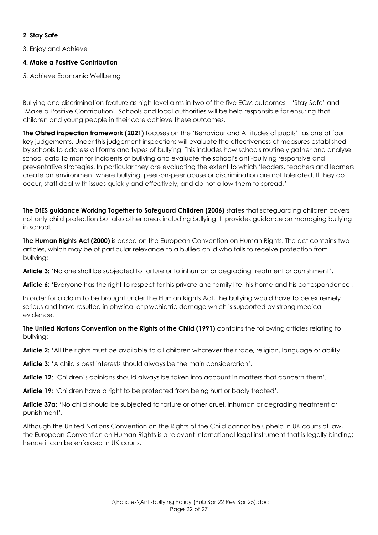## **2. Stay Safe**

3. Enjoy and Achieve

## **4. Make a Positive Contribution**

5. Achieve Economic Wellbeing

Bullying and discrimination feature as high-level aims in two of the five ECM outcomes – 'Stay Safe' and 'Make a Positive Contribution'. Schools and local authorities will be held responsible for ensuring that children and young people in their care achieve these outcomes.

**The Ofsted inspection framework (2021)** focuses on the 'Behaviour and Attitudes of pupils'' as one of four key judgements. Under this judgement inspections will evaluate the effectiveness of measures established by schools to address all forms and types of bullying. This includes how schools routinely gather and analyse school data to monitor incidents of bullying and evaluate the school's anti-bullying responsive and preventative strategies. In particular they are evaluating the extent to which 'leaders, teachers and learners create an environment where bullying, peer-on-peer abuse or discrimination are not tolerated. If they do occur, staff deal with issues quickly and effectively, and do not allow them to spread.'

**The DfES guidance Working Together to Safeguard Children (2006)** states that safeguarding children covers not only child protection but also other areas including bullying. It provides guidance on managing bullying in school.

**The Human Rights Act (2000)** is based on the European Convention on Human Rights. The act contains two articles, which may be of particular relevance to a bullied child who fails to receive protection from bullying:

**Article 3:** 'No one shall be subjected to torture or to inhuman or degrading treatment or punishment'**.** 

**Article 6:** 'Everyone has the right to respect for his private and family life, his home and his correspondence'.

In order for a claim to be brought under the Human Rights Act, the bullying would have to be extremely serious and have resulted in physical or psychiatric damage which is supported by strong medical evidence.

**The United Nations Convention on the Rights of the Child (1991)** contains the following articles relating to bullying:

**Article 2:** 'All the rights must be available to all children whatever their race, religion, language or ability'.

**Article 3:** 'A child's best interests should always be the main consideration'.

**Article 12**: 'Children's opinions should always be taken into account in matters that concern them'.

**Article 19:** 'Children have a right to be protected from being hurt or badly treated'.

**Article 37a:** 'No child should be subjected to torture or other cruel, inhuman or degrading treatment or punishment'.

Although the United Nations Convention on the Rights of the Child cannot be upheld in UK courts of law, the European Convention on Human Rights is a relevant international legal instrument that is legally binding; hence it can be enforced in UK courts.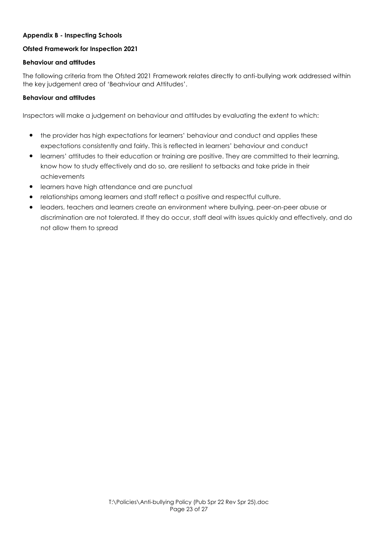## **Appendix B - Inspecting Schools**

## **Ofsted Framework for Inspection 2021**

## **Behaviour and attitudes**

The following criteria from the Ofsted 2021 Framework relates directly to anti-bullying work addressed within the key judgement area of 'Beahviour and Attitudes'.

#### **Behaviour and attitudes**

Inspectors will make a judgement on behaviour and attitudes by evaluating the extent to which:

- the provider has high expectations for learners' behaviour and conduct and applies these expectations consistently and fairly. This is reflected in learners' behaviour and conduct
- learners' attitudes to their education or training are positive. They are committed to their learning, know how to study effectively and do so, are resilient to setbacks and take pride in their achievements
- learners have high attendance and are punctual
- relationships among learners and staff reflect a positive and respectful culture.
- leaders, teachers and learners create an environment where bullying, peer-on-peer abuse or discrimination are not tolerated. If they do occur, staff deal with issues quickly and effectively, and do not allow them to spread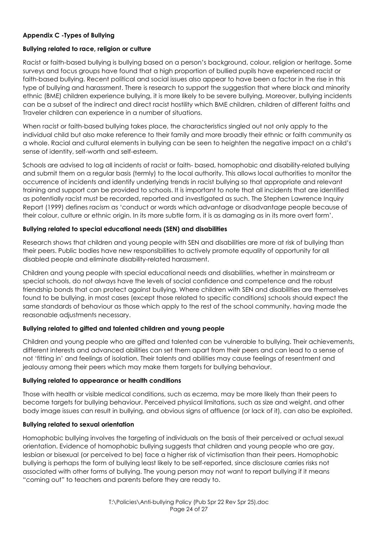## **Appendix C -Types of Bullying**

## **Bullying related to race, religion or culture**

Racist or faith-based bullying is bullying based on a person's background, colour, religion or heritage. Some surveys and focus groups have found that a high proportion of bullied pupils have experienced racist or faith-based bullying. Recent political and social issues also appear to have been a factor in the rise in this type of bullying and harassment. There is research to support the suggestion that where black and minority ethnic (BME) children experience bullying, it is more likely to be severe bullying. Moreover, bullying incidents can be a subset of the indirect and direct racist hostility which BME children, children of different faiths and Traveler children can experience in a number of situations.

When racist or faith-based bullying takes place, the characteristics singled out not only apply to the individual child but also make reference to their family and more broadly their ethnic or faith community as a whole. Racial and cultural elements in bullying can be seen to heighten the negative impact on a child's sense of identity, self-worth and self-esteem.

Schools are advised to log all incidents of racist or faith- based, homophobic and disability-related bullying and submit them on a regular basis (termly) to the local authority. This allows local authorities to monitor the occurrence of incidents and identify underlying trends in racist bullying so that appropriate and relevant training and support can be provided to schools. It is important to note that all incidents that are identified as potentially racist must be recorded, reported and investigated as such. The Stephen Lawrence Inquiry Report (1999) defines racism as 'conduct or words which advantage or disadvantage people because of their colour, culture or ethnic origin. In its more subtle form, it is as damaging as in its more overt form'.

#### **Bullying related to special educational needs (SEN) and disabilities**

Research shows that children and young people with SEN and disabilities are more at risk of bullying than their peers. Public bodies have new responsibilities to actively promote equality of opportunity for all disabled people and eliminate disability-related harassment.

Children and young people with special educational needs and disabilities, whether in mainstream or special schools, do not always have the levels of social confidence and competence and the robust friendship bonds that can protect against bullying. Where children with SEN and disabilities are themselves found to be bullying, in most cases (except those related to specific conditions) schools should expect the same standards of behaviour as those which apply to the rest of the school community, having made the reasonable adjustments necessary.

## **Bullying related to gifted and talented children and young people**

Children and young people who are gifted and talented can be vulnerable to bullying. Their achievements, different interests and advanced abilities can set them apart from their peers and can lead to a sense of not 'fitting in' and feelings of isolation. Their talents and abilities may cause feelings of resentment and jealousy among their peers which may make them targets for bullying behaviour.

#### **Bullying related to appearance or health conditions**

Those with health or visible medical conditions, such as eczema, may be more likely than their peers to become targets for bullying behaviour. Perceived physical limitations, such as size and weight, and other body image issues can result in bullying, and obvious signs of affluence (or lack of it), can also be exploited.

## **Bullying related to sexual orientation**

Homophobic bullying involves the targeting of individuals on the basis of their perceived or actual sexual orientation. Evidence of homophobic bullying suggests that children and young people who are gay, lesbian or bisexual (or perceived to be) face a higher risk of victimisation than their peers. Homophobic bullying is perhaps the form of bullying least likely to be self-reported, since disclosure carries risks not associated with other forms of bullying. The young person may not want to report bullying if it means "coming out" to teachers and parents before they are ready to.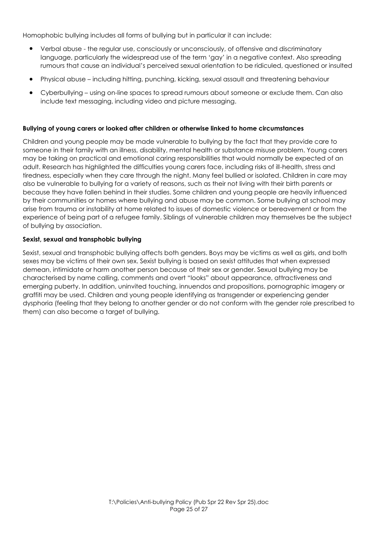Homophobic bullying includes all forms of bullying but in particular it can include:

- Verbal abuse the regular use, consciously or unconsciously, of offensive and discriminatory language, particularly the widespread use of the term 'gay' in a negative context. Also spreading rumours that cause an individual's perceived sexual orientation to be ridiculed, questioned or insulted
- Physical abuse including hitting, punching, kicking, sexual assault and threatening behaviour
- Cyberbullying using on-line spaces to spread rumours about someone or exclude them. Can also include text messaging, including video and picture messaging.

#### **Bullying of young carers or looked after children or otherwise linked to home circumstances**

Children and young people may be made vulnerable to bullying by the fact that they provide care to someone in their family with an illness, disability, mental health or substance misuse problem. Young carers may be taking on practical and emotional caring responsibilities that would normally be expected of an adult. Research has highlighted the difficulties young carers face, including risks of ill-health, stress and tiredness, especially when they care through the night. Many feel bullied or isolated. Children in care may also be vulnerable to bullying for a variety of reasons, such as their not living with their birth parents or because they have fallen behind in their studies. Some children and young people are heavily influenced by their communities or homes where bullying and abuse may be common. Some bullying at school may arise from trauma or instability at home related to issues of domestic violence or bereavement or from the experience of being part of a refugee family. Siblings of vulnerable children may themselves be the subject of bullying by association.

#### **Sexist, sexual and transphobic bullying**

Sexist, sexual and transphobic bullying affects both genders. Boys may be victims as well as girls, and both sexes may be victims of their own sex. Sexist bullying is based on sexist attitudes that when expressed demean, intimidate or harm another person because of their sex or gender. Sexual bullying may be characterised by name calling, comments and overt "looks" about appearance, attractiveness and emerging puberty. In addition, uninvited touching, innuendos and propositions, pornographic imagery or graffiti may be used. Children and young people identifying as transgender or experiencing gender dysphoria (feeling that they belong to another gender or do not conform with the gender role prescribed to them) can also become a target of bullying.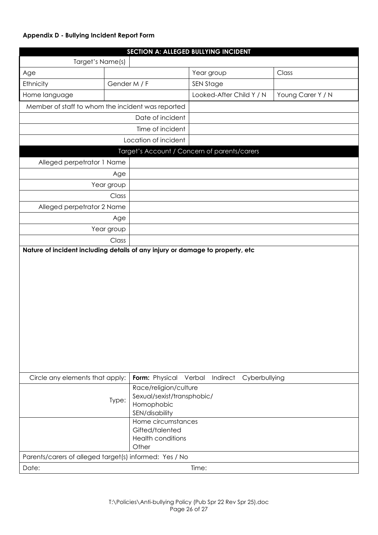## **Appendix D - Bullying Incident Report Form**

|                                                        |              |                                                                                                           | SECTION A: ALLEGED BULLYING INCIDENT         |                   |
|--------------------------------------------------------|--------------|-----------------------------------------------------------------------------------------------------------|----------------------------------------------|-------------------|
| Target's Name(s)                                       |              |                                                                                                           |                                              |                   |
| Age                                                    |              |                                                                                                           | Year group                                   | Class             |
| Ethnicity                                              | Gender M / F |                                                                                                           | <b>SEN Stage</b>                             |                   |
| Home language                                          |              |                                                                                                           | Looked-After Child Y / N                     | Young Carer Y / N |
| Member of staff to whom the incident was reported      |              |                                                                                                           |                                              |                   |
| Date of incident                                       |              |                                                                                                           |                                              |                   |
| Time of incident                                       |              |                                                                                                           |                                              |                   |
| Location of incident                                   |              |                                                                                                           |                                              |                   |
|                                                        |              |                                                                                                           | Target's Account / Concern of parents/carers |                   |
| Alleged perpetrator 1 Name                             |              |                                                                                                           |                                              |                   |
|                                                        | Age          |                                                                                                           |                                              |                   |
|                                                        | Year group   |                                                                                                           |                                              |                   |
|                                                        | Class        |                                                                                                           |                                              |                   |
| Alleged perpetrator 2 Name                             |              |                                                                                                           |                                              |                   |
|                                                        | Age          |                                                                                                           |                                              |                   |
|                                                        | Year group   |                                                                                                           |                                              |                   |
|                                                        | Class        |                                                                                                           |                                              |                   |
|                                                        |              |                                                                                                           |                                              |                   |
| Circle any elements that apply:                        |              | Form: Physical                                                                                            | Verbal<br>Indirect                           | Cyberbullying     |
|                                                        | Type:        | Race/religion/culture<br>Sexual/sexist/transphobic/<br>Homophobic<br>SEN/disability<br>Home circumstances |                                              |                   |
|                                                        |              | Gifted/talented<br><b>Health conditions</b><br>Other                                                      |                                              |                   |
| Parents/carers of alleged target(s) informed: Yes / No |              |                                                                                                           |                                              |                   |
| Date:                                                  |              |                                                                                                           | Time:                                        |                   |